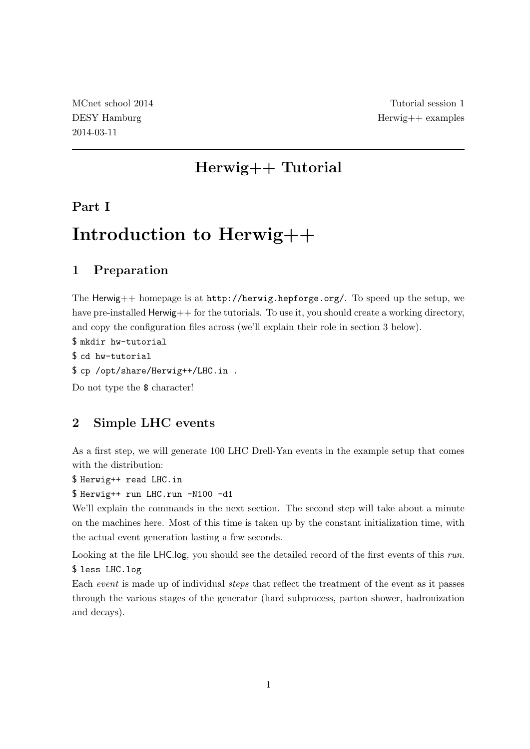## Herwig++ Tutorial

### Part I

# Introduction to Herwig++

## 1 Preparation

The Herwig++ homepage is at http://herwig.hepforge.org/. To speed up the setup, we have pre-installed Herwig++ for the tutorials. To use it, you should create a working directory, and copy the configuration files across (we'll explain their role in section 3 below).

\$ mkdir hw-tutorial

\$ cd hw-tutorial

\$ cp /opt/share/Herwig++/LHC.in .

Do not type the  $\$  character!

## 2 Simple LHC events

As a first step, we will generate 100 LHC Drell-Yan events in the example setup that comes with the distribution:

\$ Herwig++ read LHC.in

\$ Herwig++ run LHC.run -N100 -d1

We'll explain the commands in the next section. The second step will take about a minute on the machines here. Most of this time is taken up by the constant initialization time, with the actual event generation lasting a few seconds.

Looking at the file LHC.log, you should see the detailed record of the first events of this run. \$ less LHC.log

Each *event* is made up of individual *steps* that reflect the treatment of the event as it passes through the various stages of the generator (hard subprocess, parton shower, hadronization and decays).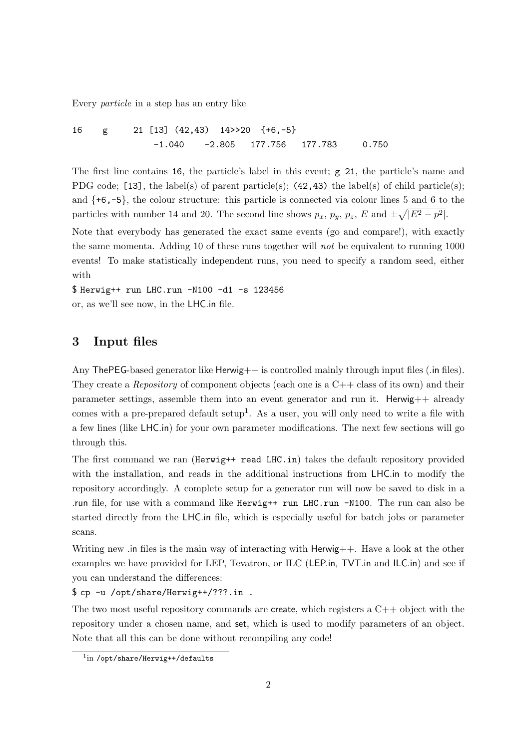Every particle in a step has an entry like

16 g 21 [13] (42,43) 14>>20 {+6,-5} -1.040 -2.805 177.756 177.783 0.750

The first line contains 16, the particle's label in this event; g 21, the particle's name and PDG code; [13], the label(s) of parent particle(s); (42,43) the label(s) of child particle(s); and  $\{+6,-5\}$ , the colour structure: this particle is connected via colour lines 5 and 6 to the particles with number 14 and 20. The second line shows  $p_x$ ,  $p_y$ ,  $p_z$ ,  $E$  and  $\pm \sqrt{|E^2 - p^2|}$ .

Note that everybody has generated the exact same events (go and compare!), with exactly the same momenta. Adding 10 of these runs together will not be equivalent to running 1000 events! To make statistically independent runs, you need to specify a random seed, either with

\$ Herwig++ run LHC.run -N100 -d1 -s 123456 or, as we'll see now, in the LHC.in file.

#### 3 Input files

Any The PEG-based generator like  $H$ erwig $++$  is controlled mainly through input files (.in files). They create a *Repository* of component objects (each one is a  $C++$  class of its own) and their parameter settings, assemble them into an event generator and run it. Herwig++ already comes with a pre-prepared default setup<sup>1</sup>. As a user, you will only need to write a file with a few lines (like LHC.in) for your own parameter modifications. The next few sections will go through this.

The first command we ran (Herwig++ read LHC.in) takes the default repository provided with the installation, and reads in the additional instructions from LHC.in to modify the repository accordingly. A complete setup for a generator run will now be saved to disk in a .run file, for use with a command like Herwig++ run LHC.run -N100. The run can also be started directly from the LHC.in file, which is especially useful for batch jobs or parameter scans.

Writing new .in files is the main way of interacting with Herwig++. Have a look at the other examples we have provided for LEP, Tevatron, or ILC (LEP.in, TVT.in and ILC.in) and see if you can understand the differences:

\$ cp -u /opt/share/Herwig++/???.in .

The two most useful repository commands are create, which registers a  $C++$  object with the repository under a chosen name, and set, which is used to modify parameters of an object. Note that all this can be done without recompiling any code!

<sup>1</sup> in /opt/share/Herwig++/defaults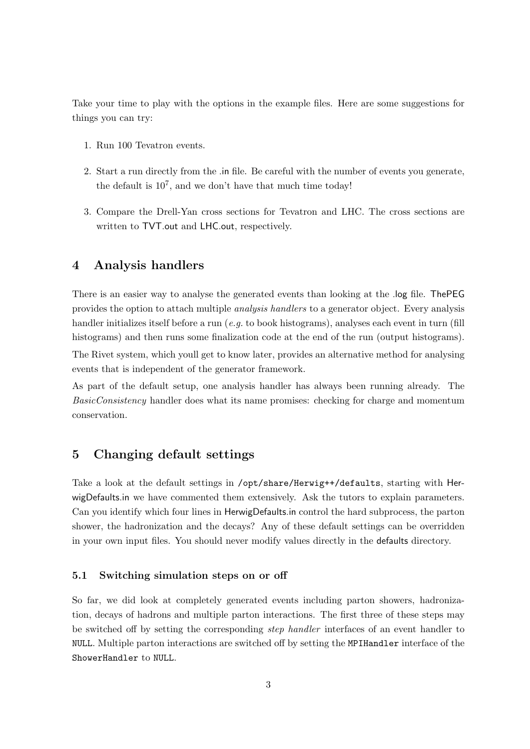Take your time to play with the options in the example files. Here are some suggestions for things you can try:

- 1. Run 100 Tevatron events.
- 2. Start a run directly from the .in file. Be careful with the number of events you generate, the default is  $10^7$ , and we don't have that much time today!
- 3. Compare the Drell-Yan cross sections for Tevatron and LHC. The cross sections are written to TVT.out and LHC.out, respectively.

#### 4 Analysis handlers

There is an easier way to analyse the generated events than looking at the .log file. ThePEG provides the option to attach multiple analysis handlers to a generator object. Every analysis handler initializes itself before a run  $(e.g.$  to book histograms), analyses each event in turn (fill histograms) and then runs some finalization code at the end of the run (output histograms). The Rivet system, which youll get to know later, provides an alternative method for analysing events that is independent of the generator framework.

As part of the default setup, one analysis handler has always been running already. The BasicConsistency handler does what its name promises: checking for charge and momentum conservation.

#### 5 Changing default settings

Take a look at the default settings in /opt/share/Herwig++/defaults, starting with HerwigDefaults.in we have commented them extensively. Ask the tutors to explain parameters. Can you identify which four lines in HerwigDefaults.in control the hard subprocess, the parton shower, the hadronization and the decays? Any of these default settings can be overridden in your own input files. You should never modify values directly in the defaults directory.

#### 5.1 Switching simulation steps on or off

So far, we did look at completely generated events including parton showers, hadronization, decays of hadrons and multiple parton interactions. The first three of these steps may be switched off by setting the corresponding step handler interfaces of an event handler to NULL. Multiple parton interactions are switched off by setting the MPIHandler interface of the ShowerHandler to NULL.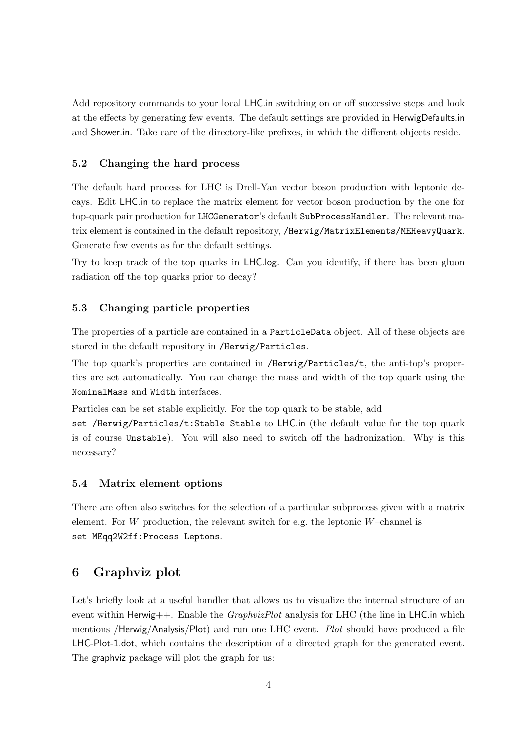Add repository commands to your local LHC.in switching on or off successive steps and look at the effects by generating few events. The default settings are provided in HerwigDefaults.in and Shower.in. Take care of the directory-like prefixes, in which the different objects reside.

#### 5.2 Changing the hard process

The default hard process for LHC is Drell-Yan vector boson production with leptonic decays. Edit LHC.in to replace the matrix element for vector boson production by the one for top-quark pair production for LHCGenerator's default SubProcessHandler. The relevant matrix element is contained in the default repository, /Herwig/MatrixElements/MEHeavyQuark. Generate few events as for the default settings.

Try to keep track of the top quarks in LHC.log. Can you identify, if there has been gluon radiation off the top quarks prior to decay?

#### 5.3 Changing particle properties

The properties of a particle are contained in a ParticleData object. All of these objects are stored in the default repository in /Herwig/Particles.

The top quark's properties are contained in /Herwig/Particles/t, the anti-top's properties are set automatically. You can change the mass and width of the top quark using the NominalMass and Width interfaces.

Particles can be set stable explicitly. For the top quark to be stable, add

set /Herwig/Particles/t:Stable Stable to LHC.in (the default value for the top quark is of course Unstable). You will also need to switch off the hadronization. Why is this necessary?

#### 5.4 Matrix element options

There are often also switches for the selection of a particular subprocess given with a matrix element. For  $W$  production, the relevant switch for e.g. the leptonic  $W$ –channel is set MEqq2W2ff:Process Leptons.

#### 6 Graphviz plot

Let's briefly look at a useful handler that allows us to visualize the internal structure of an event within Herwig++. Enable the *GraphvizPlot* analysis for LHC (the line in LHC.in which mentions /Herwig/Analysis/Plot) and run one LHC event. *Plot* should have produced a file LHC-Plot-1.dot, which contains the description of a directed graph for the generated event. The graphviz package will plot the graph for us: